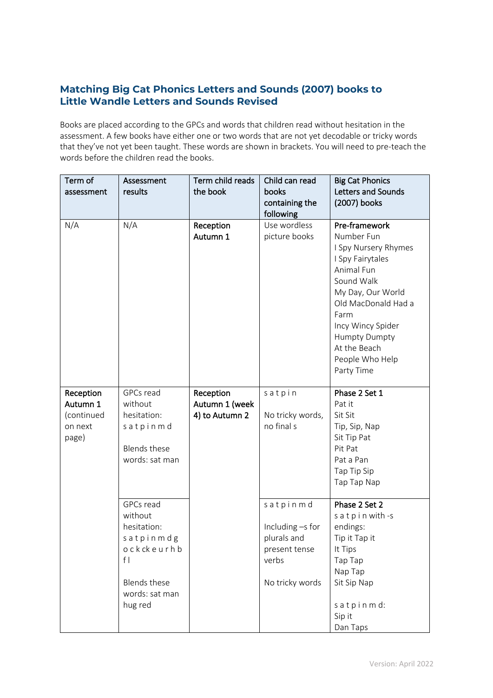## **Matching Big Cat Phonics Letters and Sounds (2007) books to Little Wandle Letters and Sounds Revised**

Books are placed according to the GPCs and words that children read without hesitation in the assessment. A few books have either one or two words that are not yet decodable or tricky words that they've not yet been taught. These words are shown in brackets. You will need to pre-teach the words before the children read the books.

| Term of<br>assessment                                   | Assessment<br>results                                                                                                    | Term child reads<br>the book                  | Child can read<br>books<br>containing the<br>following                                   | <b>Big Cat Phonics</b><br>Letters and Sounds<br>(2007) books                                                                                                                                                                                          |
|---------------------------------------------------------|--------------------------------------------------------------------------------------------------------------------------|-----------------------------------------------|------------------------------------------------------------------------------------------|-------------------------------------------------------------------------------------------------------------------------------------------------------------------------------------------------------------------------------------------------------|
| N/A                                                     | N/A                                                                                                                      | Reception<br>Autumn 1                         | Use wordless<br>picture books                                                            | Pre-framework<br>Number Fun<br>I Spy Nursery Rhymes<br>I Spy Fairytales<br>Animal Fun<br>Sound Walk<br>My Day, Our World<br>Old MacDonald Had a<br>Farm<br>Incy Wincy Spider<br><b>Humpty Dumpty</b><br>At the Beach<br>People Who Help<br>Party Time |
| Reception<br>Autumn 1<br>(continued<br>on next<br>page) | GPCs read<br>without<br>hesitation:<br>satpinmd<br><b>Blends these</b><br>words: sat man                                 | Reception<br>Autumn 1 (week<br>4) to Autumn 2 | satpin<br>No tricky words,<br>no final s                                                 | Phase 2 Set 1<br>Pat it<br>Sit Sit<br>Tip, Sip, Nap<br>Sit Tip Pat<br>Pit Pat<br>Pat a Pan<br>Tap Tip Sip<br>Tap Tap Nap                                                                                                                              |
|                                                         | GPCs read<br>without<br>hesitation:<br>satpinmdg<br>ockckeurhb<br>f <br><b>Blends these</b><br>words: sat man<br>hug red |                                               | satpinmd<br>Including -s for<br>plurals and<br>present tense<br>verbs<br>No tricky words | Phase 2 Set 2<br>satpin with -s<br>endings:<br>Tip it Tap it<br>It Tips<br>Tap Tap<br>Nap Tap<br>Sit Sip Nap<br>satpinmd:<br>Sip it<br>Dan Taps                                                                                                       |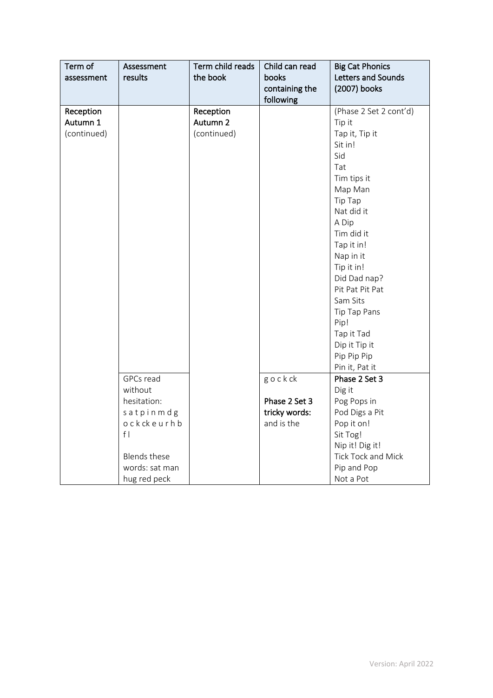| Term of<br>assessment | Assessment<br>results   | Term child reads<br>the book | Child can read<br>books<br>containing the | <b>Big Cat Phonics</b><br>Letters and Sounds<br>(2007) books |
|-----------------------|-------------------------|------------------------------|-------------------------------------------|--------------------------------------------------------------|
|                       |                         |                              | following                                 |                                                              |
| Reception             |                         | Reception                    |                                           | (Phase 2 Set 2 cont'd)                                       |
| Autumn 1              |                         | Autumn 2                     |                                           | Tip it                                                       |
| (continued)           |                         | (continued)                  |                                           | Tap it, Tip it                                               |
|                       |                         |                              |                                           | Sit in!                                                      |
|                       |                         |                              |                                           | Sid                                                          |
|                       |                         |                              |                                           | Tat                                                          |
|                       |                         |                              |                                           | Tim tips it                                                  |
|                       |                         |                              |                                           | Map Man                                                      |
|                       |                         |                              |                                           | Tip Tap                                                      |
|                       |                         |                              |                                           | Nat did it                                                   |
|                       |                         |                              |                                           | A Dip                                                        |
|                       |                         |                              |                                           | Tim did it                                                   |
|                       |                         |                              |                                           | Tap it in!                                                   |
|                       |                         |                              |                                           | Nap in it                                                    |
|                       |                         |                              |                                           | Tip it in!                                                   |
|                       |                         |                              |                                           | Did Dad nap?                                                 |
|                       |                         |                              |                                           | Pit Pat Pit Pat                                              |
|                       |                         |                              |                                           | Sam Sits                                                     |
|                       |                         |                              |                                           | Tip Tap Pans                                                 |
|                       |                         |                              |                                           | Pip!                                                         |
|                       |                         |                              |                                           | Tap it Tad                                                   |
|                       |                         |                              |                                           | Dip it Tip it                                                |
|                       |                         |                              |                                           | Pip Pip Pip                                                  |
|                       |                         |                              |                                           | Pin it, Pat it                                               |
|                       | GPCs read               |                              | gockck                                    | Phase 2 Set 3                                                |
|                       | without<br>hesitation:  |                              | Phase 2 Set 3                             | Dig it                                                       |
|                       |                         |                              |                                           | Pog Pops in                                                  |
|                       | satpinmdg<br>ockckeurhb |                              | tricky words:<br>and is the               | Pod Digs a Pit                                               |
|                       | f                       |                              |                                           | Pop it on!                                                   |
|                       |                         |                              |                                           | Sit Tog!<br>Nip it! Dig it!                                  |
|                       | <b>Blends these</b>     |                              |                                           | Tick Tock and Mick                                           |
|                       |                         |                              |                                           |                                                              |
|                       | words: sat man          |                              |                                           | Pip and Pop                                                  |
|                       | hug red peck            |                              |                                           | Not a Pot                                                    |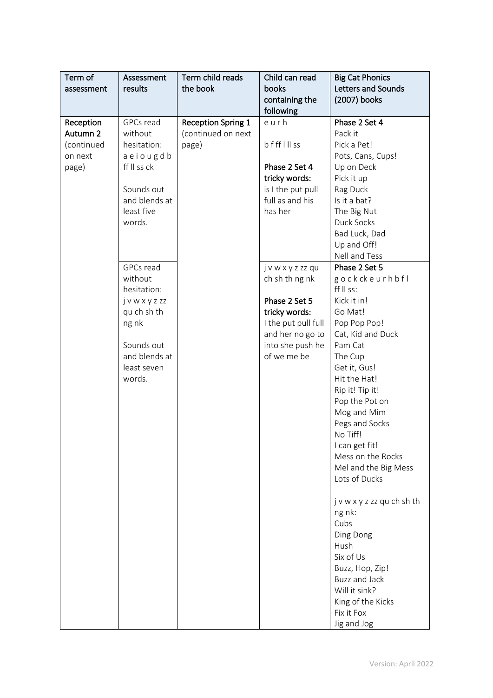| Term of    | Assessment    | Term child reads          | Child can read      | <b>Big Cat Phonics</b>     |
|------------|---------------|---------------------------|---------------------|----------------------------|
| assessment | results       | the book                  | books               | Letters and Sounds         |
|            |               |                           | containing the      | (2007) books               |
|            |               |                           | following           |                            |
| Reception  | GPCs read     | <b>Reception Spring 1</b> | eurh                | Phase 2 Set 4              |
| Autumn 2   | without       | (continued on next        |                     | Pack it                    |
| (continued | hesitation:   | page)                     | bffflllss           | Pick a Pet!                |
| on next    | aeiougdb      |                           |                     | Pots, Cans, Cups!          |
| page)      | ff II ss ck   |                           | Phase 2 Set 4       | Up on Deck                 |
|            |               |                           | tricky words:       | Pick it up                 |
|            | Sounds out    |                           | is I the put pull   | Rag Duck                   |
|            | and blends at |                           | full as and his     | Is it a bat?               |
|            | least five    |                           | has her             | The Big Nut                |
|            | words.        |                           |                     | Duck Socks                 |
|            |               |                           |                     | Bad Luck, Dad              |
|            |               |                           |                     | Up and Off!                |
|            |               |                           |                     | Nell and Tess              |
|            | GPCs read     |                           | jvwxyzzzqu          | Phase 2 Set 5              |
|            | without       |                           | ch sh th ng nk      | gockckeurhbfl              |
|            | hesitation:   |                           |                     | ff II ss:                  |
|            | jvwxyzzz      |                           | Phase 2 Set 5       | Kick it in!                |
|            | qu ch sh th   |                           | tricky words:       | Go Mat!                    |
|            | ng nk         |                           | I the put pull full | Pop Pop Pop!               |
|            |               |                           | and her no go to    | Cat, Kid and Duck          |
|            | Sounds out    |                           | into she push he    | Pam Cat                    |
|            | and blends at |                           | of we me be         | The Cup                    |
|            | least seven   |                           |                     | Get it, Gus!               |
|            | words.        |                           |                     | Hit the Hat!               |
|            |               |                           |                     | Rip it! Tip it!            |
|            |               |                           |                     | Pop the Pot on             |
|            |               |                           |                     | Mog and Mim                |
|            |               |                           |                     | Pegs and Socks             |
|            |               |                           |                     | No Tiff!                   |
|            |               |                           |                     | I can get fit!             |
|            |               |                           |                     | Mess on the Rocks          |
|            |               |                           |                     | Mel and the Big Mess       |
|            |               |                           |                     | Lots of Ducks              |
|            |               |                           |                     | j v w x y z zz qu ch sh th |
|            |               |                           |                     | ng nk:                     |
|            |               |                           |                     | Cubs                       |
|            |               |                           |                     | Ding Dong                  |
|            |               |                           |                     | Hush                       |
|            |               |                           |                     | Six of Us                  |
|            |               |                           |                     | Buzz, Hop, Zip!            |
|            |               |                           |                     | <b>Buzz and Jack</b>       |
|            |               |                           |                     | Will it sink?              |
|            |               |                           |                     | King of the Kicks          |
|            |               |                           |                     | Fix it Fox                 |
|            |               |                           |                     | Jig and Jog                |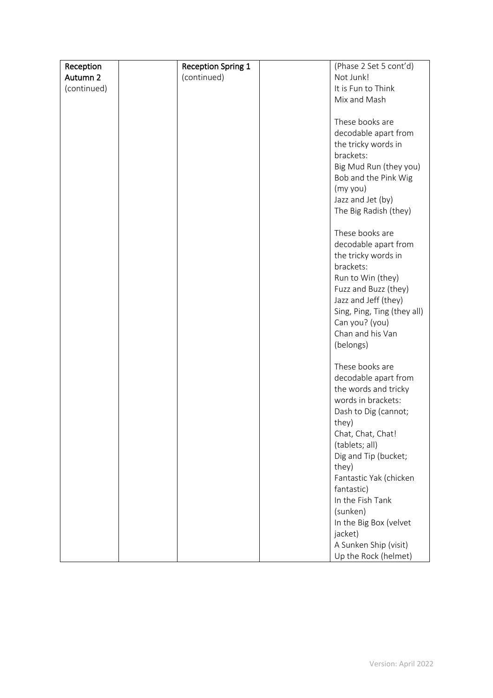| Reception   | <b>Reception Spring 1</b> | (Phase 2 Set 5 cont'd)      |
|-------------|---------------------------|-----------------------------|
| Autumn 2    | (continued)               | Not Junk!                   |
| (continued) |                           | It is Fun to Think          |
|             |                           | Mix and Mash                |
|             |                           |                             |
|             |                           | These books are             |
|             |                           | decodable apart from        |
|             |                           | the tricky words in         |
|             |                           | brackets:                   |
|             |                           | Big Mud Run (they you)      |
|             |                           | Bob and the Pink Wig        |
|             |                           | (my you)                    |
|             |                           | Jazz and Jet (by)           |
|             |                           | The Big Radish (they)       |
|             |                           |                             |
|             |                           | These books are             |
|             |                           | decodable apart from        |
|             |                           | the tricky words in         |
|             |                           | brackets:                   |
|             |                           | Run to Win (they)           |
|             |                           | Fuzz and Buzz (they)        |
|             |                           | Jazz and Jeff (they)        |
|             |                           | Sing, Ping, Ting (they all) |
|             |                           | Can you? (you)              |
|             |                           | Chan and his Van            |
|             |                           | (belongs)                   |
|             |                           |                             |
|             |                           | These books are             |
|             |                           | decodable apart from        |
|             |                           | the words and tricky        |
|             |                           | words in brackets:          |
|             |                           | Dash to Dig (cannot;        |
|             |                           | they)                       |
|             |                           | Chat, Chat, Chat!           |
|             |                           | (tablets; all)              |
|             |                           | Dig and Tip (bucket;        |
|             |                           | they)                       |
|             |                           | Fantastic Yak (chicken      |
|             |                           | fantastic)                  |
|             |                           | In the Fish Tank            |
|             |                           | (sunken)                    |
|             |                           | In the Big Box (velvet      |
|             |                           | jacket)                     |
|             |                           | A Sunken Ship (visit)       |
|             |                           | Up the Rock (helmet)        |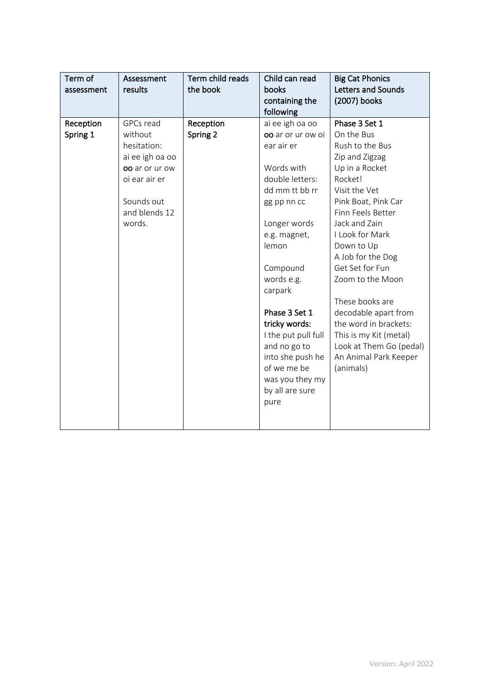| Term of<br>assessment | Assessment<br>results                                                                                                              | Term child reads<br>the book | Child can read<br>books<br>containing the<br>following                                                                                                                                                                                                                                                                                                       | <b>Big Cat Phonics</b><br>Letters and Sounds<br>(2007) books                                                                                                                                                                                                                                                                                                                                                                            |
|-----------------------|------------------------------------------------------------------------------------------------------------------------------------|------------------------------|--------------------------------------------------------------------------------------------------------------------------------------------------------------------------------------------------------------------------------------------------------------------------------------------------------------------------------------------------------------|-----------------------------------------------------------------------------------------------------------------------------------------------------------------------------------------------------------------------------------------------------------------------------------------------------------------------------------------------------------------------------------------------------------------------------------------|
| Reception<br>Spring 1 | GPCs read<br>without<br>hesitation:<br>ai ee igh oa oo<br>oo ar or ur ow<br>oi ear air er<br>Sounds out<br>and blends 12<br>words. | Reception<br>Spring 2        | ai ee igh oa oo<br>oo ar or ur ow oi<br>ear air er<br>Words with<br>double letters:<br>dd mm tt bb rr<br>gg pp nn cc<br>Longer words<br>e.g. magnet,<br>lemon<br>Compound<br>words e.g.<br>carpark<br>Phase 3 Set 1<br>tricky words:<br>I the put pull full<br>and no go to<br>into she push he<br>of we me be<br>was you they my<br>by all are sure<br>pure | Phase 3 Set 1<br>On the Bus<br>Rush to the Bus<br>Zip and Zigzag<br>Up in a Rocket<br>Rocket!<br>Visit the Vet<br>Pink Boat, Pink Car<br>Finn Feels Better<br>Jack and Zain<br>I Look for Mark<br>Down to Up<br>A Job for the Dog<br>Get Set for Fun<br>Zoom to the Moon<br>These books are<br>decodable apart from<br>the word in brackets:<br>This is my Kit (metal)<br>Look at Them Go (pedal)<br>An Animal Park Keeper<br>(animals) |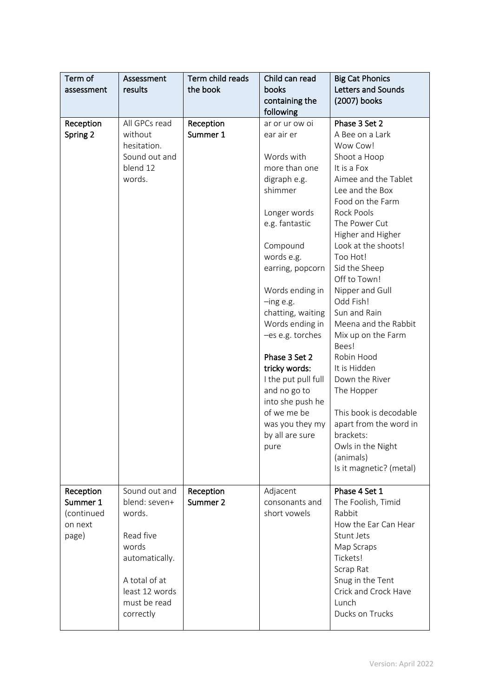| Term of<br>assessment                                   | Assessment<br>results                                                                                                                            | Term child reads<br>the book | Child can read<br>books<br>containing the<br>following                                                                                                                                                                                                                                                                                                                                                                          | <b>Big Cat Phonics</b><br>Letters and Sounds<br>(2007) books                                                                                                                                                                                                                                                                                                                                                                                                                                                                                                                 |
|---------------------------------------------------------|--------------------------------------------------------------------------------------------------------------------------------------------------|------------------------------|---------------------------------------------------------------------------------------------------------------------------------------------------------------------------------------------------------------------------------------------------------------------------------------------------------------------------------------------------------------------------------------------------------------------------------|------------------------------------------------------------------------------------------------------------------------------------------------------------------------------------------------------------------------------------------------------------------------------------------------------------------------------------------------------------------------------------------------------------------------------------------------------------------------------------------------------------------------------------------------------------------------------|
| Reception<br>Spring 2                                   | All GPCs read<br>without<br>hesitation.<br>Sound out and<br>blend 12<br>words.                                                                   | Reception<br>Summer 1        | ar or ur ow oi<br>ear air er<br>Words with<br>more than one<br>digraph e.g.<br>shimmer<br>Longer words<br>e.g. fantastic<br>Compound<br>words e.g.<br>earring, popcorn<br>Words ending in<br>$-$ ing e.g.<br>chatting, waiting<br>Words ending in<br>-es e.g. torches<br>Phase 3 Set 2<br>tricky words:<br>I the put pull full<br>and no go to<br>into she push he<br>of we me be<br>was you they my<br>by all are sure<br>pure | Phase 3 Set 2<br>A Bee on a Lark<br>Wow Cow!<br>Shoot a Hoop<br>It is a Fox<br>Aimee and the Tablet<br>Lee and the Box<br>Food on the Farm<br><b>Rock Pools</b><br>The Power Cut<br>Higher and Higher<br>Look at the shoots!<br>Too Hot!<br>Sid the Sheep<br>Off to Town!<br>Nipper and Gull<br>Odd Fish!<br>Sun and Rain<br>Meena and the Rabbit<br>Mix up on the Farm<br>Bees!<br>Robin Hood<br>It is Hidden<br>Down the River<br>The Hopper<br>This book is decodable<br>apart from the word in<br>brackets:<br>Owls in the Night<br>(animals)<br>Is it magnetic? (metal) |
| Reception<br>Summer 1<br>(continued<br>on next<br>page) | Sound out and<br>blend: seven+<br>words.<br>Read five<br>words<br>automatically.<br>A total of at<br>least 12 words<br>must be read<br>correctly | Reception<br>Summer 2        | Adjacent<br>consonants and<br>short vowels                                                                                                                                                                                                                                                                                                                                                                                      | Phase 4 Set 1<br>The Foolish, Timid<br>Rabbit<br>How the Ear Can Hear<br>Stunt Jets<br>Map Scraps<br>Tickets!<br>Scrap Rat<br>Snug in the Tent<br>Crick and Crock Have<br>Lunch<br>Ducks on Trucks                                                                                                                                                                                                                                                                                                                                                                           |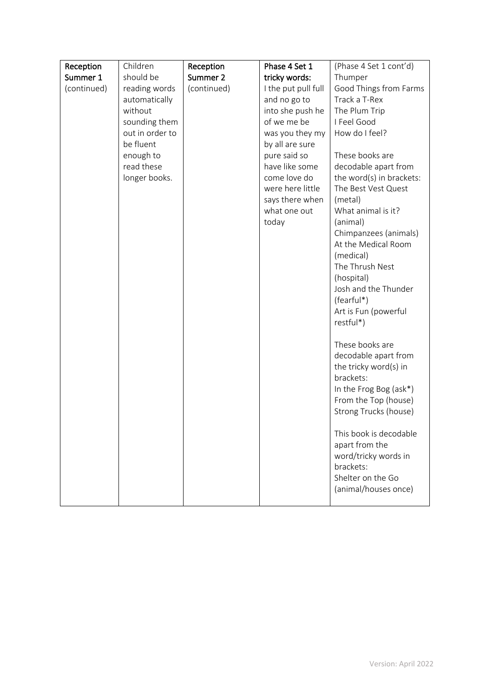| Reception   | Children        | Reception   | Phase 4 Set 1       | (Phase 4 Set 1 cont'd)                    |
|-------------|-----------------|-------------|---------------------|-------------------------------------------|
| Summer 1    | should be       | Summer 2    | tricky words:       | Thumper                                   |
| (continued) | reading words   | (continued) | I the put pull full | Good Things from Farms                    |
|             | automatically   |             | and no go to        | Track a T-Rex                             |
|             | without         |             | into she push he    | The Plum Trip                             |
|             | sounding them   |             | of we me be         | I Feel Good                               |
|             | out in order to |             | was you they my     | How do I feel?                            |
|             | be fluent       |             | by all are sure     |                                           |
|             | enough to       |             | pure said so        | These books are                           |
|             | read these      |             | have like some      | decodable apart from                      |
|             | longer books.   |             | come love do        | the word(s) in brackets:                  |
|             |                 |             | were here little    | The Best Vest Quest                       |
|             |                 |             | says there when     | (metal)                                   |
|             |                 |             | what one out        | What animal is it?                        |
|             |                 |             | today               | (animal)                                  |
|             |                 |             |                     | Chimpanzees (animals)                     |
|             |                 |             |                     | At the Medical Room                       |
|             |                 |             |                     | (medical)                                 |
|             |                 |             |                     | The Thrush Nest                           |
|             |                 |             |                     | (hospital)                                |
|             |                 |             |                     | Josh and the Thunder                      |
|             |                 |             |                     | (fearful*)                                |
|             |                 |             |                     | Art is Fun (powerful                      |
|             |                 |             |                     | restful*)                                 |
|             |                 |             |                     | These books are                           |
|             |                 |             |                     | decodable apart from                      |
|             |                 |             |                     | the tricky word(s) in                     |
|             |                 |             |                     | brackets:                                 |
|             |                 |             |                     | In the Frog Bog (ask*)                    |
|             |                 |             |                     | From the Top (house)                      |
|             |                 |             |                     | Strong Trucks (house)                     |
|             |                 |             |                     |                                           |
|             |                 |             |                     | This book is decodable                    |
|             |                 |             |                     | apart from the                            |
|             |                 |             |                     | word/tricky words in                      |
|             |                 |             |                     | brackets:                                 |
|             |                 |             |                     | Shelter on the Go<br>(animal/houses once) |
|             |                 |             |                     |                                           |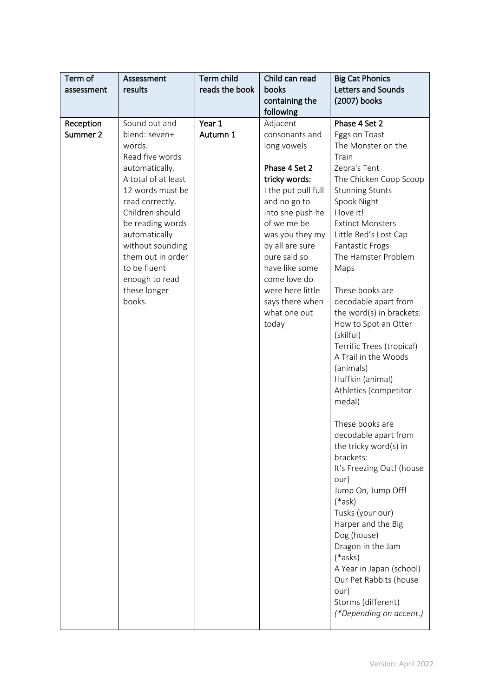| Term of<br>assessment | Assessment<br>results                                                                                                                                                                                                                                                                                    | Term child<br>reads the book | Child can read<br>books<br>containing the<br>following                                                                                                                                                                                                                                                        | <b>Big Cat Phonics</b><br>Letters and Sounds<br>(2007) books                                                                                                                                                                                                                                                                                                                                                                                                                                                                                                                                                                                                                                                                                                                                                                                                                    |
|-----------------------|----------------------------------------------------------------------------------------------------------------------------------------------------------------------------------------------------------------------------------------------------------------------------------------------------------|------------------------------|---------------------------------------------------------------------------------------------------------------------------------------------------------------------------------------------------------------------------------------------------------------------------------------------------------------|---------------------------------------------------------------------------------------------------------------------------------------------------------------------------------------------------------------------------------------------------------------------------------------------------------------------------------------------------------------------------------------------------------------------------------------------------------------------------------------------------------------------------------------------------------------------------------------------------------------------------------------------------------------------------------------------------------------------------------------------------------------------------------------------------------------------------------------------------------------------------------|
| Reception<br>Summer 2 | Sound out and<br>blend: seven+<br>words.<br>Read five words<br>automatically.<br>A total of at least<br>12 words must be<br>read correctly.<br>Children should<br>be reading words<br>automatically<br>without sounding<br>them out in order<br>to be fluent<br>enough to read<br>these longer<br>books. | Year 1<br>Autumn 1           | Adjacent<br>consonants and<br>long vowels<br>Phase 4 Set 2<br>tricky words:<br>I the put pull full<br>and no go to<br>into she push he<br>of we me be<br>was you they my<br>by all are sure<br>pure said so<br>have like some<br>come love do<br>were here little<br>says there when<br>what one out<br>today | Phase 4 Set 2<br>Eggs on Toast<br>The Monster on the<br>Train<br>Zebra's Tent<br>The Chicken Coop Scoop<br><b>Stunning Stunts</b><br>Spook Night<br>I love it!<br><b>Extinct Monsters</b><br>Little Red's Lost Cap<br>Fantastic Frogs<br>The Hamster Problem<br>Maps<br>These books are<br>decodable apart from<br>the word(s) in brackets:<br>How to Spot an Otter<br>(skilful)<br>Terrific Trees (tropical)<br>A Trail in the Woods<br>(animals)<br>Huffkin (animal)<br>Athletics (competitor<br>medal)<br>These books are<br>decodable apart from<br>the tricky word(s) in<br>brackets:<br>It's Freezing Out! (house<br>our)<br>Jump On, Jump Off!<br>$(*ask)$<br>Tusks (your our)<br>Harper and the Big<br>Dog (house)<br>Dragon in the Jam<br>$(*$ asks $)$<br>A Year in Japan (school)<br>Our Pet Rabbits (house<br>our)<br>Storms (different)<br>(*Depending on accent.) |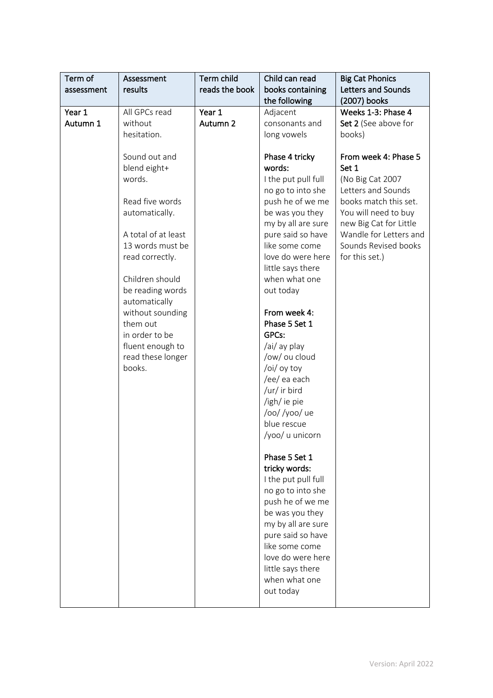| Term of    | Assessment                                                                                                                                                                                                                                                                                                                        | Term child     | Child can read                                                                                                                                                                                                                                                                                                                                                                                                                                                                                                                                                                                                                                                                      | <b>Big Cat Phonics</b>                                                                                                                                                                                                                                   |
|------------|-----------------------------------------------------------------------------------------------------------------------------------------------------------------------------------------------------------------------------------------------------------------------------------------------------------------------------------|----------------|-------------------------------------------------------------------------------------------------------------------------------------------------------------------------------------------------------------------------------------------------------------------------------------------------------------------------------------------------------------------------------------------------------------------------------------------------------------------------------------------------------------------------------------------------------------------------------------------------------------------------------------------------------------------------------------|----------------------------------------------------------------------------------------------------------------------------------------------------------------------------------------------------------------------------------------------------------|
| assessment | results                                                                                                                                                                                                                                                                                                                           | reads the book | books containing                                                                                                                                                                                                                                                                                                                                                                                                                                                                                                                                                                                                                                                                    | Letters and Sounds                                                                                                                                                                                                                                       |
|            |                                                                                                                                                                                                                                                                                                                                   |                | the following                                                                                                                                                                                                                                                                                                                                                                                                                                                                                                                                                                                                                                                                       | (2007) books                                                                                                                                                                                                                                             |
| Year 1     | All GPCs read                                                                                                                                                                                                                                                                                                                     | Year 1         | Adjacent                                                                                                                                                                                                                                                                                                                                                                                                                                                                                                                                                                                                                                                                            | Weeks 1-3: Phase 4                                                                                                                                                                                                                                       |
|            |                                                                                                                                                                                                                                                                                                                                   |                |                                                                                                                                                                                                                                                                                                                                                                                                                                                                                                                                                                                                                                                                                     |                                                                                                                                                                                                                                                          |
|            |                                                                                                                                                                                                                                                                                                                                   |                |                                                                                                                                                                                                                                                                                                                                                                                                                                                                                                                                                                                                                                                                                     |                                                                                                                                                                                                                                                          |
| Autumn 1   | without<br>hesitation.<br>Sound out and<br>blend eight+<br>words.<br>Read five words<br>automatically.<br>A total of at least<br>13 words must be<br>read correctly.<br>Children should<br>be reading words<br>automatically<br>without sounding<br>them out<br>in order to be<br>fluent enough to<br>read these longer<br>books. | Autumn 2       | consonants and<br>long vowels<br>Phase 4 tricky<br>words:<br>I the put pull full<br>no go to into she<br>push he of we me<br>be was you they<br>my by all are sure<br>pure said so have<br>like some come<br>love do were here<br>little says there<br>when what one<br>out today<br>From week 4:<br>Phase 5 Set 1<br>GPCs:<br>/ai/ ay play<br>/ow/ ou cloud<br>/oi/ oy toy<br>/ee/ ea each<br>/ur/ ir bird<br>/igh/ ie pie<br>/oo//yoo/ue<br>blue rescue<br>/yoo/ u unicorn<br>Phase 5 Set 1<br>tricky words:<br>I the put pull full<br>no go to into she<br>push he of we me<br>be was you they<br>my by all are sure<br>pure said so have<br>like some come<br>love do were here | Set 2 (See above for<br>books)<br>From week 4: Phase 5<br>Set 1<br>(No Big Cat 2007<br>Letters and Sounds<br>books match this set.<br>You will need to buy<br>new Big Cat for Little<br>Wandle for Letters and<br>Sounds Revised books<br>for this set.) |
|            |                                                                                                                                                                                                                                                                                                                                   |                | little says there<br>when what one<br>out today                                                                                                                                                                                                                                                                                                                                                                                                                                                                                                                                                                                                                                     |                                                                                                                                                                                                                                                          |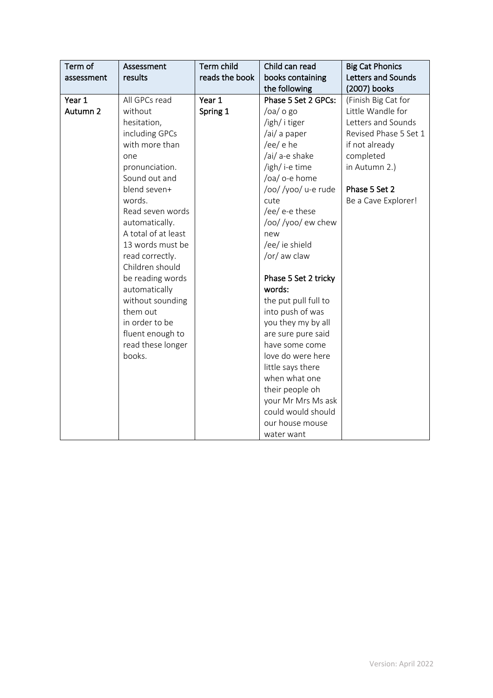| Term of<br>assessment | Assessment<br>results | Term child<br>reads the book | Child can read<br>books containing<br>the following | <b>Big Cat Phonics</b><br>Letters and Sounds<br>(2007) books |
|-----------------------|-----------------------|------------------------------|-----------------------------------------------------|--------------------------------------------------------------|
| Year 1                | All GPCs read         | Year 1                       | Phase 5 Set 2 GPCs:                                 | (Finish Big Cat for                                          |
| Autumn 2              | without               | Spring 1                     | $/$ oa $/$ o go                                     | Little Wandle for                                            |
|                       | hesitation,           |                              | /igh/ i tiger                                       | Letters and Sounds                                           |
|                       | including GPCs        |                              | /ai/ a paper                                        | Revised Phase 5 Set 1                                        |
|                       | with more than        |                              | /ee/ e he                                           | if not already                                               |
|                       | one                   |                              | /ai/ a-e shake                                      | completed                                                    |
|                       | pronunciation.        |                              | /igh/ i-e time                                      | in Autumn 2.)                                                |
|                       | Sound out and         |                              | /oa/ o-e home                                       |                                                              |
|                       | blend seven+          |                              | /oo//yoo/ u-e rude                                  | Phase 5 Set 2                                                |
|                       | words.                |                              | cute                                                | Be a Cave Explorer!                                          |
|                       | Read seven words      |                              | /ee/ e-e these                                      |                                                              |
|                       | automatically.        |                              | /oo//yoo/ew chew                                    |                                                              |
|                       | A total of at least   |                              | new                                                 |                                                              |
|                       | 13 words must be      |                              | /ee/ ie shield                                      |                                                              |
|                       | read correctly.       |                              | /or/ aw claw                                        |                                                              |
|                       | Children should       |                              |                                                     |                                                              |
|                       | be reading words      |                              | Phase 5 Set 2 tricky                                |                                                              |
|                       | automatically         |                              | words:                                              |                                                              |
|                       | without sounding      |                              | the put pull full to                                |                                                              |
|                       | them out              |                              | into push of was                                    |                                                              |
|                       | in order to be        |                              | you they my by all                                  |                                                              |
|                       | fluent enough to      |                              | are sure pure said                                  |                                                              |
|                       | read these longer     |                              | have some come                                      |                                                              |
|                       | books.                |                              | love do were here                                   |                                                              |
|                       |                       |                              | little says there                                   |                                                              |
|                       |                       |                              | when what one                                       |                                                              |
|                       |                       |                              | their people oh                                     |                                                              |
|                       |                       |                              | your Mr Mrs Ms ask                                  |                                                              |
|                       |                       |                              | could would should                                  |                                                              |
|                       |                       |                              | our house mouse                                     |                                                              |
|                       |                       |                              | water want                                          |                                                              |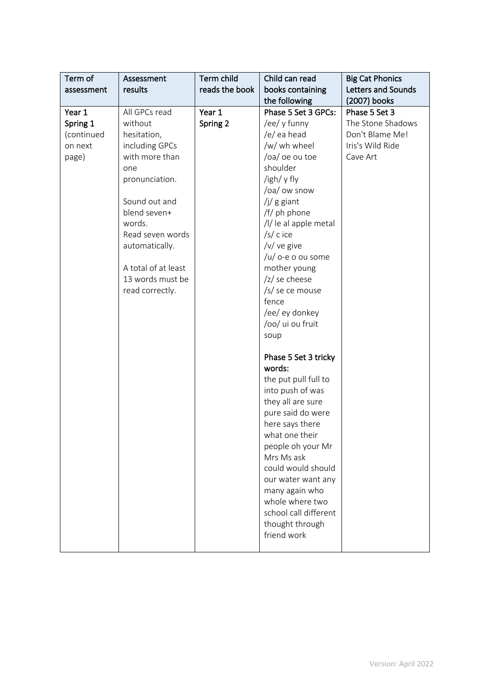| Term of<br>assessment                                | Assessment<br>results                                                                                                                                                                                                                               | Term child<br>reads the book | Child can read<br>books containing<br>the following                                                                                                                                                                                                                                                                                                   | <b>Big Cat Phonics</b><br>Letters and Sounds<br>(2007) books                          |
|------------------------------------------------------|-----------------------------------------------------------------------------------------------------------------------------------------------------------------------------------------------------------------------------------------------------|------------------------------|-------------------------------------------------------------------------------------------------------------------------------------------------------------------------------------------------------------------------------------------------------------------------------------------------------------------------------------------------------|---------------------------------------------------------------------------------------|
| Year 1<br>Spring 1<br>(continued<br>on next<br>page) | All GPCs read<br>without<br>hesitation,<br>including GPCs<br>with more than<br>one<br>pronunciation.<br>Sound out and<br>blend seven+<br>words.<br>Read seven words<br>automatically.<br>A total of at least<br>13 words must be<br>read correctly. | Year 1<br>Spring 2           | Phase 5 Set 3 GPCs:<br>/ee/ y funny<br>/e/ ea head<br>/w/ wh wheel<br>/oa/ oe ou toe<br>shoulder<br>/igh/ y fly<br>/oa/ ow snow<br>$/j/g$ giant<br>/f/ ph phone<br>/l/ le al apple metal<br>$/s/c$ ice<br>/v/ ve give<br>/u/ o-e o ou some<br>mother young<br>/z/ se cheese<br>/s/ se ce mouse<br>fence<br>/ee/ ey donkey<br>/oo/ ui ou fruit<br>soup | Phase 5 Set 3<br>The Stone Shadows<br>Don't Blame Me!<br>Iris's Wild Ride<br>Cave Art |
|                                                      |                                                                                                                                                                                                                                                     |                              | Phase 5 Set 3 tricky<br>words:<br>the put pull full to<br>into push of was<br>they all are sure<br>pure said do were<br>here says there<br>what one their<br>people oh your Mr<br>Mrs Ms ask<br>could would should<br>our water want any<br>many again who<br>whole where two<br>school call different<br>thought through<br>friend work              |                                                                                       |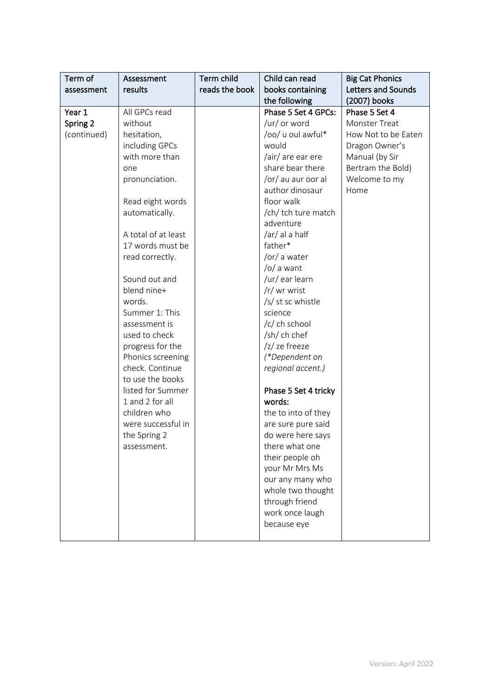| Term of     | Assessment          | Term child     | Child can read       | <b>Big Cat Phonics</b> |
|-------------|---------------------|----------------|----------------------|------------------------|
| assessment  | results             | reads the book | books containing     | Letters and Sounds     |
|             |                     |                | the following        | (2007) books           |
| Year 1      | All GPCs read       |                | Phase 5 Set 4 GPCs:  | Phase 5 Set 4          |
| Spring 2    | without             |                | /ur/ or word         | Monster Treat          |
| (continued) | hesitation,         |                | /oo/ u oul awful*    | How Not to be Eaten    |
|             | including GPCs      |                | would                | Dragon Owner's         |
|             | with more than      |                | /air/ are ear ere    | Manual (by Sir         |
|             | one                 |                | share bear there     | Bertram the Bold)      |
|             | pronunciation.      |                | /or/ au aur oor al   | Welcome to my          |
|             |                     |                | author dinosaur      | Home                   |
|             | Read eight words    |                | floor walk           |                        |
|             | automatically.      |                | /ch/ tch ture match  |                        |
|             |                     |                | adventure            |                        |
|             | A total of at least |                | /ar/ al a half       |                        |
|             | 17 words must be    |                | father*              |                        |
|             | read correctly.     |                | /or/ a water         |                        |
|             |                     |                | $\sqrt{O}$ a want    |                        |
|             | Sound out and       |                | /ur/ ear learn       |                        |
|             | blend nine+         |                | /r/ wr wrist         |                        |
|             | words.              |                | /s/ st sc whistle    |                        |
|             | Summer 1: This      |                | science              |                        |
|             | assessment is       |                | /c/ ch school        |                        |
|             | used to check       |                | /sh/ ch chef         |                        |
|             | progress for the    |                | /z/ ze freeze        |                        |
|             | Phonics screening   |                | (*Dependent on       |                        |
|             | check. Continue     |                | regional accent.)    |                        |
|             | to use the books    |                |                      |                        |
|             | listed for Summer   |                | Phase 5 Set 4 tricky |                        |
|             | 1 and 2 for all     |                | words:               |                        |
|             | children who        |                | the to into of they  |                        |
|             | were successful in  |                | are sure pure said   |                        |
|             | the Spring 2        |                | do were here says    |                        |
|             | assessment.         |                | there what one       |                        |
|             |                     |                | their people oh      |                        |
|             |                     |                | your Mr Mrs Ms       |                        |
|             |                     |                | our any many who     |                        |
|             |                     |                | whole two thought    |                        |
|             |                     |                | through friend       |                        |
|             |                     |                | work once laugh      |                        |
|             |                     |                | because eye          |                        |